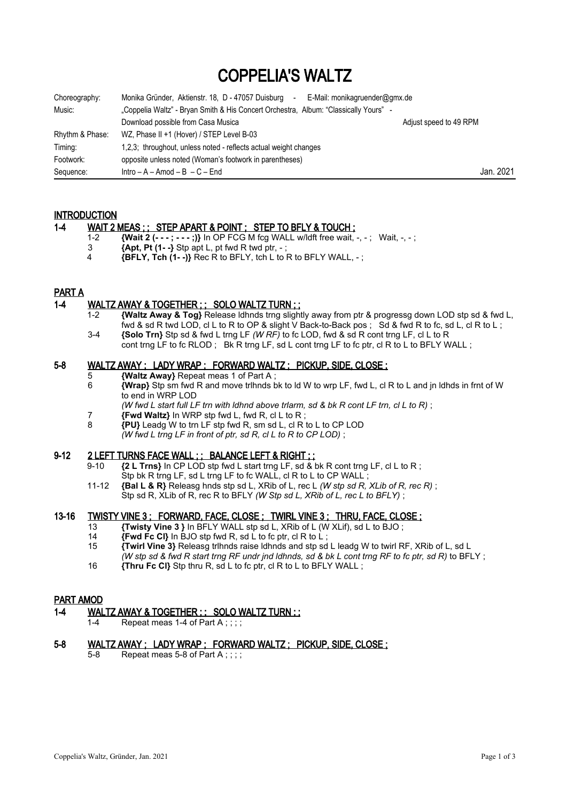# COPPELIA'S WALTZ

| Choreography:   | Monika Gründer, Aktienstr. 18, D - 47057 Duisburg<br>E-Mail: monikagruender@gmx.de<br>$\sim$ |                        |
|-----------------|----------------------------------------------------------------------------------------------|------------------------|
| Music:          | "Coppelia Waltz" - Bryan Smith & His Concert Orchestra, Album: "Classically Yours" -         |                        |
|                 | Download possible from Casa Musica                                                           | Adjust speed to 49 RPM |
| Rhythm & Phase: | WZ, Phase II +1 (Hover) / STEP Level B-03                                                    |                        |
| Timing:         | 1,2,3; throughout, unless noted - reflects actual weight changes                             |                        |
| Footwork:       | opposite unless noted (Woman's footwork in parentheses)                                      |                        |
| Sequence:       | $Intro - A - Amod - B - C - End$                                                             | Jan. 2021              |

#### **INTRODUCTION**

#### 1-4 WAIT 2 MEAS ; ; STEP APART & POINT ; STEP TO BFLY & TOUCH ;

- 1-2 **{Wait 2 (- ; - ;)}** In OP FCG M fcg WALL w/ldft free wait, -, ; Wait, -, ;<br>**3** *IAnt Pt (1 -***)** Stp ant L pt fwd R twd ptr ;
- $\overline{3}$   $\overline{4}$  **Apt, Pt**  $(1-\overline{3})$  Stp apt L, pt fwd R twd ptr, -;<br>4 **(BEI Y. Tch (1--**) Rec R to BEI Y, tch L to I
	- 4 **{BFLY, Tch (1- -)}** Rec R to BFLY, tch L to R to BFLY WALL, ;

# PART A

#### 1-4 WALTZ AWAY & TOGETHER ; ; SOLO WALTZ TURN ; ;

- 1-2 **{Waltz Away & Tog}** Release ldhnds trng slightly away from ptr & progressg down LOD stp sd & fwd L, fwd & sd R twd LOD, cl L to R to OP & slight V Back-to-Back pos ; Sd & fwd R to fc, sd L, cl R to L ; 3-4 **{Solo Trn}** Stp sd & fwd L trng LF *(W RF)* to fc LOD, fwd & sd R cont trng LF, cl L to R
- cont trng LF to fc RLOD; Bk R trng LF, sd L cont trng LF to fc ptr, cl R to L to BFLY WALL;

## 5-8 WALTZ AWAY ; LADY WRAP ; FORWARD WALTZ ; PICKUP, SIDE, CLOSE ;

- 5 **{Waltz Away}** Repeat meas 1 of Part A ;
- 6 **{Wrap}** Stp sm fwd R and move trlhnds bk to ld W to wrp LF, fwd L, cl R to L and jn ldhds in frnt of W to end in WRP LOD
	- *(W fwd L start full LF trn with ldhnd above trlarm, sd & bk R cont LF trn, cl L to R)* ;
- 7 **{Fwd Waltz}** In WRP stp fwd L, fwd R, cl L to R ;
- 8 **{PU}** Leadg W to trn LF stp fwd R, sm sd L, cl R to L to CP LOD
	- *(W fwd L trng LF in front of ptr, sd R, cl L to R to CP LOD)* ;

# 9-12 2 LEFT TURNS FACE WALL ; ; BALANCE LEFT & RIGHT ; ;

- 9-10 **{2 L Trns}** In CP LOD stp fwd L start trng LF, sd & bk R cont trng LF, cl L to R ; Stp bk R trng LF, sd L trng LF to fc WALL, cl R to L to CP WALL ;
- 11-12 **{Bal L & R}** Releasg hnds stp sd L, XRib of L, rec L *(W stp sd R, XLib of R, rec R)* ; Stp sd R, XLib of R, rec R to BFLY *(W Stp sd L, XRib of L, rec L to BFLY)* ;

#### 13-16 TWISTY VINE 3: FORWARD, FACE, CLOSE ; TWIRL VINE 3 ; THRU, FACE, CLOSE ;

- 13 **{Twisty Vine 3 }** In BFLY WALL stp sd L, XRib of L (W XLif), sd L to BJO ;
- 14 **Fwd Fc CI}** In BJO stp fwd R, sd L to fc ptr, cl R to L;<br>15 **Twirl Vine 3}** Releasg tribnds raise Idhnds and stp sd
- 15 **{Twirl Vine 3}** Releasg trlhnds raise ldhnds and stp sd L leadg W to twirl RF, XRib of L, sd L *(W stp sd & fwd R start trng RF undr jnd ldhnds, sd & bk L cont trng RF to fc ptr, sd R)* to BFLY ;
- 16 **{Thru Fc Cl}** Stp thru R, sd L to fc ptr, cl R to L to BFLY WALL ;

#### PART AMOD

#### 1-4 WALTZ AWAY & TOGETHER ; ; SOLO WALTZ TURN ; ;

1-4 Repeat meas 1-4 of Part  $A : \cdot : \cdot$ 

#### 5-8 WALTZ AWAY ; LADY WRAP ; FORWARD WALTZ ; PICKUP, SIDE, CLOSE ;

 $5-8$  Repeat meas 5-8 of Part A ::::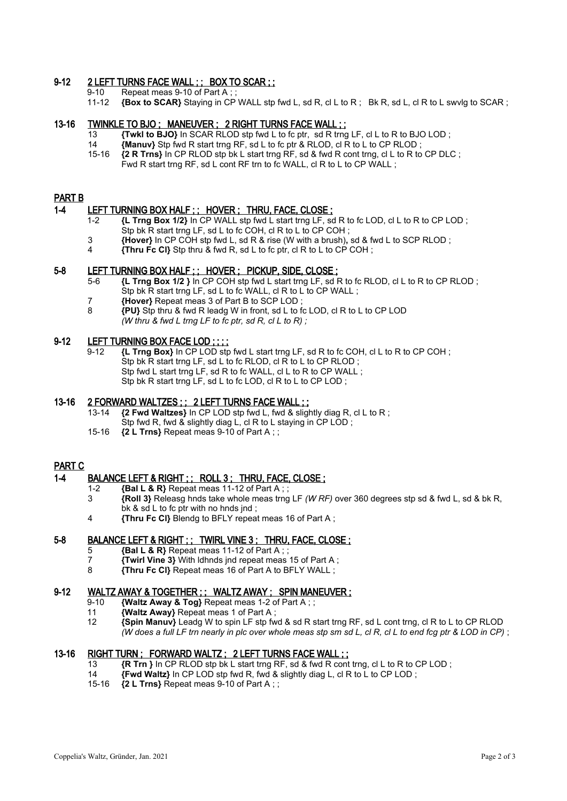### 9-12 2 LEFT TURNS FACE WALL ; ; BOX TO SCAR ; ;

9-10 Repeat meas 9-10 of Part A;<br>11-12 **{Box to SCAR}** Staving in CP

11-12 **{Box to SCAR}** Staying in CP WALL stp fwd L, sd R, cl L to R ; Bk R, sd L, cl R to L swvlg to SCAR ;

#### 13-16 TWINKLE TO BJO ; MANEUVER ; 2 RIGHT TURNS FACE WALL ; ;

- 13 **{Twkl to BJO}** In SCAR RLOD stp fwd L to fc ptr, sd R trng LF, cl L to R to BJO LOD ;
- 14 *{Manuv}* Stp fwd R start trng RF, sd L to fc ptr & RLOD, cl R to L to CP RLOD;<br>15-16 **12 R Trns**} In CP RLOD stp bk L start trng RF, sd & fwd R cont trng, cl L to R to
- 15-16 **{2 R Trns}** In CP RLOD stp bk L start trng RF, sd & fwd R cont trng, cl L to R to CP DLC ; Fwd R start trng RF, sd L cont RF trn to fc WALL, cl R to L to CP WALL :

#### PART B

#### 1-4 LEFT TURNING BOX HALF ; ; HOVER ; THRU, FACE, CLOSE ;

- 1-2 **{L Trng Box 1/2}** In CP WALL stp fwd L start trng LF, sd R to fc LOD, cl L to R to CP LOD ; Stp bk R start trng LF, sd L to fc COH, cl R to L to CP COH;
- 3 **{Hover}** In CP COH stp fwd L, sd R & rise (W with a brush)**,** sd & fwd L to SCP RLOD ;
- 4 **{Thru Fc Cl}** Stp thru & fwd R, sd L to fc ptr, cl R to L to CP COH ;

#### 5-8 LEFT TURNING BOX HALF ; ; HOVER ; PICKUP, SIDE, CLOSE ;

- 5-6 **{L Trng Box 1/2 }** In CP COH stp fwd L start trng LF, sd R to fc RLOD, cl L to R to CP RLOD ; Stp bk R start trng LF, sd L to fc WALL, cl R to L to CP WALL ;
- 7 **{Hover}** Repeat meas 3 of Part B to SCP LOD;<br>8 *PUN* Stn thru & fwd R leado W in front sd L to f
- 8 **{PU}** Stp thru & fwd R leadg W in front, sd L to fc LOD, cl R to L to CP LOD *(W thru & fwd L trng LF to fc ptr, sd R, cl L to R) ;*

# 9-12 LEFT TURNING BOX FACE LOD ; ; ; ;

 9-12 **{L Trng Box}** In CP LOD stp fwd L start trng LF, sd R to fc COH, cl L to R to CP COH ; Stp bk R start trng LF, sd L to fc RLOD, cl R to L to CP RLOD ; Stp fwd L start trng LF, sd R to fc WALL, cl L to R to CP WALL : Stp bk R start trng LF, sd L to fc LOD, cl R to L to CP LOD ;

#### 13-16 2 FORWARD WALTZES ; ; 2 LEFT TURNS FACE WALL ; ;

- 13-14 **{2 Fwd Waltzes}** In CP LOD stp fwd L, fwd & slightly diag R, cl L to R ; Stp fwd R, fwd & slightly diag L, cl R to L staying in CP LOD ;
- 15-16 **{2 L Trns}** Repeat meas 9-10 of Part A ; ;

# PART C

# 1-4 BALANCE LEFT & RIGHT ; ; ROLL 3 ; THRU, FACE, CLOSE ;

- 1-2 **{Bal L & R}** Repeat meas 11-12 of Part A ; ;
- 3 **{Roll 3}** Releasg hnds take whole meas trng LF *(W RF)* over 360 degrees stp sd & fwd L, sd & bk R, bk & sd L to fc ptr with no hnds jnd ;
- 4 **{Thru Fc Cl}** Blendg to BFLY repeat meas 16 of Part A ;

# 5-8 BALANCE LEFT & RIGHT ; ; TWIRL VINE 3 ; THRU, FACE, CLOSE ;

- 5 **{Bal L & R}** Repeat meas 11-12 of Part A ; ;
- 7 **{Twirl Vine 3}** With ldhnds jnd repeat meas 15 of Part A ;
- 8 **{Thru Fc Cl}** Repeat meas 16 of Part A to BFLY WALL ;

#### 9-12 WALTZ AWAY & TOGETHER ; ; WALTZ AWAY ; SPIN MANEUVER ;

- 9-10 **{Waltz Away & Tog}** Repeat meas 1-2 of Part A ; ;
- 11 **{Waltz Away}** Repeat meas 1 of Part A ;
- 12 **{Spin Manuv}** Leadg W to spin LF stp fwd & sd R start trng RF, sd L cont trng, cl R to L to CP RLOD *(W does a full LF trn nearly in plc over whole meas stp sm sd L, cl R, cl L to end fcg ptr & LOD in CP)* ;

#### 13-16 RIGHT TURN ; FORWARD WALTZ ; 2 LEFT TURNS FACE WALL ; ;

- 13 **{R Trn }** In CP RLOD stp bk L start trng RF, sd & fwd R cont trng, cl L to R to CP LOD;<br>14 *Ewd Waltz* In CP LOD stp fwd R fwd & slightly diag L cl R to L to CP LOD;
- 14 **{Fwd Waltz}** In CP LOD stp fwd R, fwd & slightly diag L, cl R to L to CP LOD ;
- 15-16 **{2 L Trns}** Repeat meas 9-10 of Part A ; ;